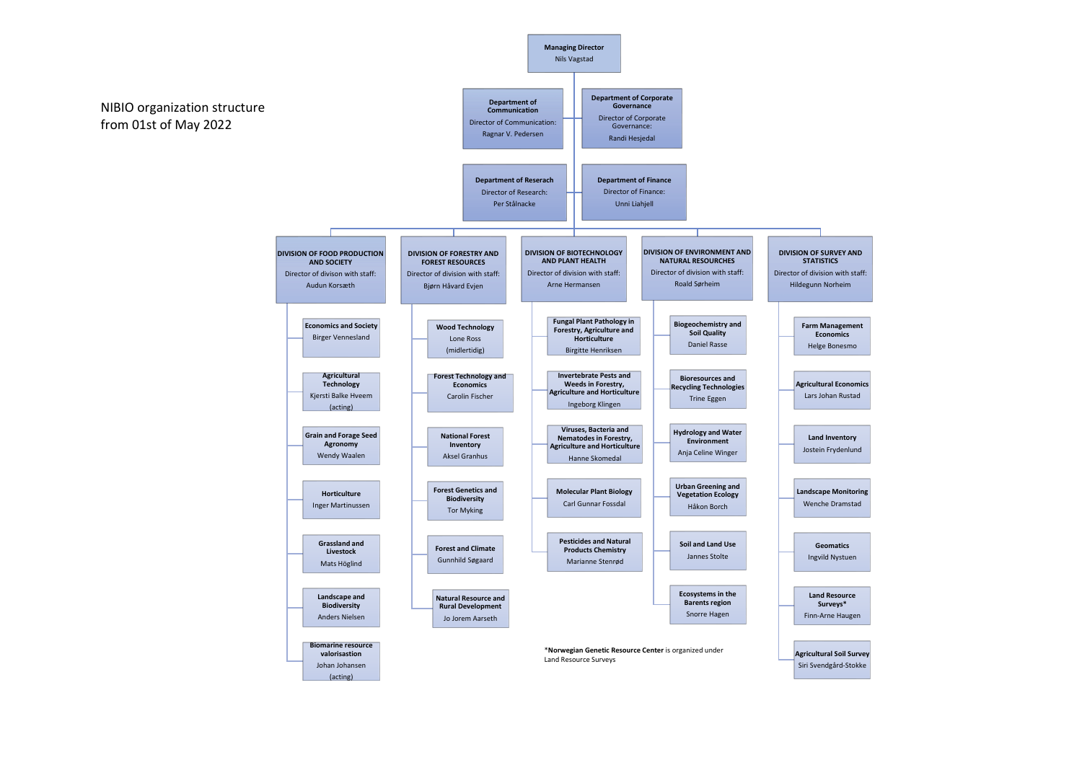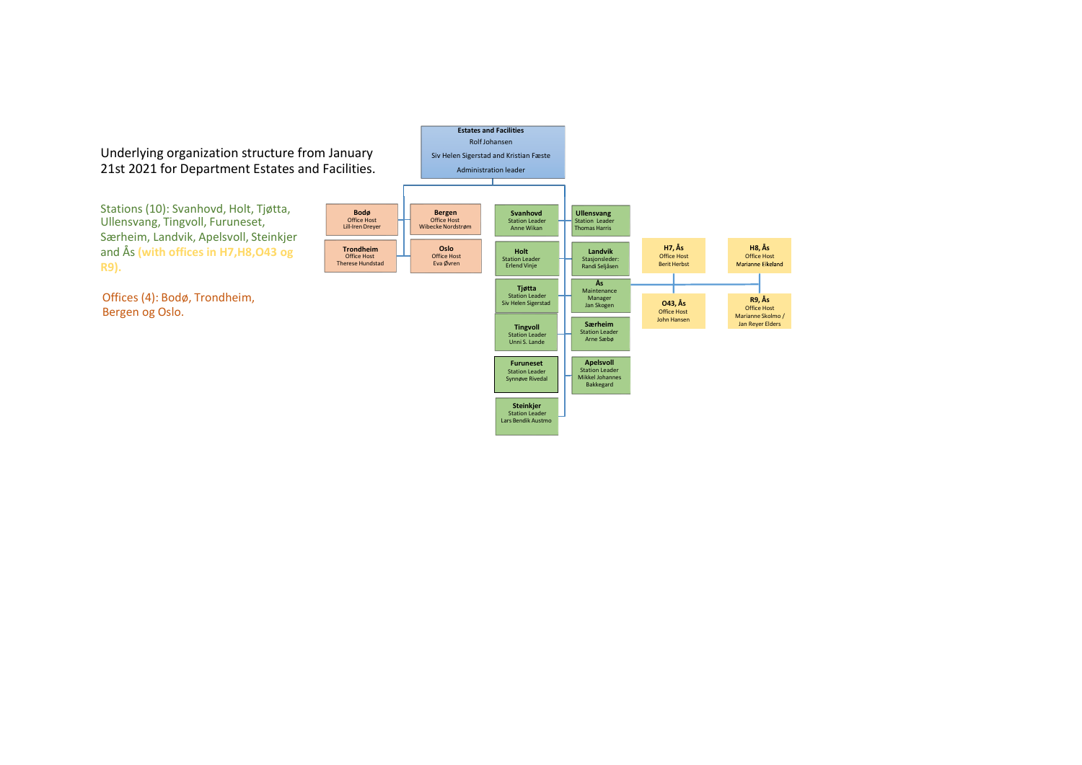Underlying organization structure from January 21st 2021 for Department Estates and Facilities.

Stations (10): Svanhovd, Holt, Tjøtta, Ullensvang, Tingvoll, Furuneset, Særheim, Landvik, Apelsvoll, Steinkjer and Ås **(with offices in H7,H8,O43 og R9).**

Offices (4): Bodø, Trondheim, Bergen og Oslo.